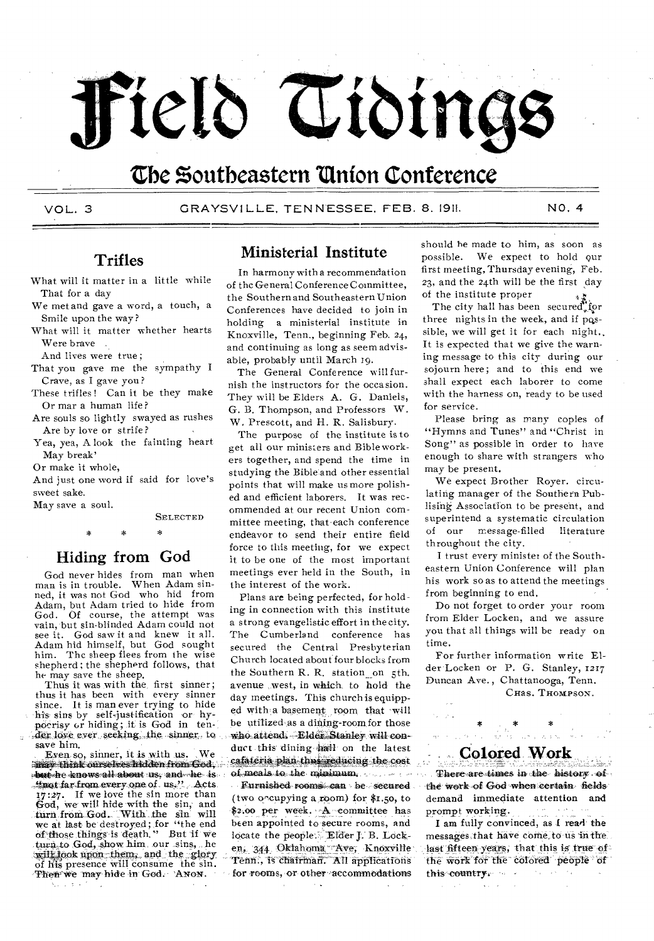# Field Tidings

# The Southeastern Union Conference

VOL.3

GRAYSVILLE, TENNESSEE, FEB. 8. 1911.

NO. 4

## **Trifles**

What will it matter in a little while That for a day

We met and gave a word, a touch, a Smile upon the way?

What will it matter whether hearts Were brave.

And lives were true;

- That you gave me the sympathy I Crave, as I gave you?
- These trifles! Can it be they make Or mar a human life?
- Are souls so lightly swayed as rushes Are by love or strife?
- Yea, yea, A look the fainting heart May break'

Or make it whole,

And just one word if said for love's sweet sake.

May save a soul.

**SELECTED** 

 $\star$ 

## Hiding from God

God never hides from man when man is in trouble. When Adam sinned, it was not God who hid from Adam, but Adam tried to hide from God. Of course, the attempt was vain, but sin-blinded Adam could not see it. God saw it and knew it all.<br>Adam hid himself, but God sought him. The sheep flees from the wise shepherd; the shepherd follows, that he may save the sheep.

Thus it was with the first sinner; thus it has been with every sinner since. It is man ever trying to hide his sins by self-justification or hypoerisy or hiding; it is God in tender love ever seeking the sinner to save him.

Even so, sinner, it is with us.  $W_{\mathbf{P}}$ in av think ourselves hidden from God. share he knows all about us, and he is timet far from every one of us." Acts 17:27. If we love the sin more than God, we will hide with the sin, and turn from God. With the sin will we at last be destroyed; for "the end of those things is death." But if we turn to God, show him our sins, he will look upon them, and the glory of his presence will consume the sin. Then we may hide in God. ANON.

## **Ministerial Institute**

In harmony with a recommendation of the General Conference Committee, the Southern and Southeastern Union Conferences have decided to join in holding a ministerial institute in Knoxville, Tenn., beginning Feb. 24, and continuing as long as seem advisable, probably until March 19.

The General Conference will furnish the instructors for the occasion. They will be Elders A. G. Daniels, G. B. Thompson, and Professors W. W. Prescott, and H. R. Salisbury.

The purpose of the institute is to get all our ministers and Bibleworkers together, and spend the time in studying the Bible'and other essential points that will make us more polished and efficient laborers. It was recommended at our recent Union committee meeting, that each conference endeavor to send their entire field force to this meeting, for we expect it to be one of the most important meetings ever held in the South, in the interest of the work.

Plans are being perfected, for holding in connection with this institute a strong evangelistic effort in the city. The Cumberland conference has secured the Central Presbyterian Church located about four blocks from the Southern R. R. station on 5th. avenue west, in which to hold the day meetings. This church is equipped with a basement room that will be utilized as a dining-room for those who attend. Elder Stanley will conduct this dining hall on the latest cafateria plan thus reducing the cost of meals to the minimum.

Eurnished rooms can be secured (two occupying a room) for  $\text{\$I}, \text{50}, \text{to}$ \$2.00 per week. A committee has been appointed to secure rooms, and locate the people: Elder J. B. Locken, 344 Oklahoma Ave, Knoxville Tenn., is chairman. All applications for rooms, or other accommodations

should be made to him, as soon as possible. We expect to hold our first meeting, Thursday evening, Feb. 23, and the 24th will be the first day of the institute proper

The city hall has been secured for three nights in the week, and if possible, we will get it for each night.. It is expected that we give the warning message to this city during our sojourn here; and to this end we shall expect each laborer to come with the harness on, ready to be used for service.

Please bring as many copies of "Hymns and Tunes" and "Christ in Song" as possible in order to have enough to share with strangers who may be present.

Wé expect Brother Royer. circulating manager of the Southern Publising Association to be present, and superintend a systematic circulation of our message-filled literature throughout the city.

I trust every minister of the Southeastern Union Conference will plan his work so as to attend the meetings from beginning to end.

Do not forget to order your room from Elder Locken, and we assure you that all things will be ready on time.

For further information write Elder Locken or P. G. Stanley, 1217 Duncan Ave., Chattanooga, Tenn. CHas. THOMPSON.

## Colored Work

There are times in the history of the work of God when certain fields demand immediate attention and prompt working.

I am fully convinced, as I read the messages that have come to us in the last fifteen years, that this is true of the work for the colored people of N. this country. The same of the sea

 $\zeta_{\rm{max}}$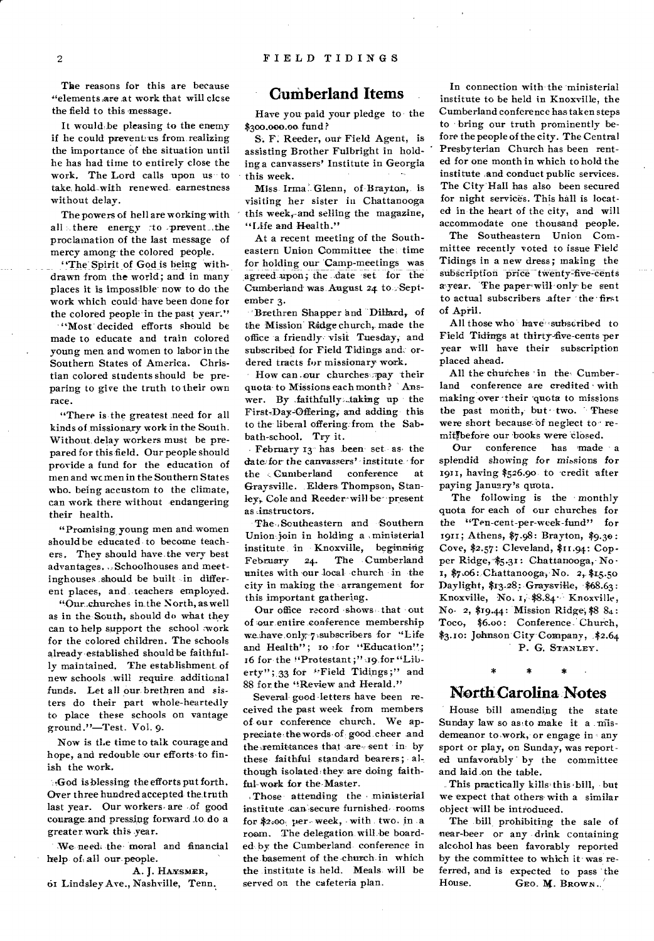The reasons for this are because "elements are at work that will close the field to this message.

It would be pleasing to the enemy if he could prevent-us from realizing the importance of the situation until he has had time to entirely close the work. The Lord calls upon us to take hold with renewed earnestness without delay.

The powers of hell are working-with all there energy :to prevent the proclamation of the last message of mercy among-the colored people.

"The Spirit of God is being withdrawn from .the world; and in many places it is impossible now to do the work which could-have been done for the colored people in the past year."

"Most" decided efforts should be made to educate and train colored young men and women to labor in the Southern States of America. Christian colored students should be preparing to give the truth to their own race.

"There is the greatest need for all kinds of missionary work in the South. Without. delay workers must be prepared for this field. Our people should provide a fund for the education of men and wcmen in the Southern States who. being accustom to the climate, can work there without endangering their health.

"Promising young men and women should be educated- to become teachers. They should have-the very best advantages. ,,Schoolhouses and meetinghouses should be built in different places, and teachers employed.

"Our.cb.urches in.the North, as well as in the-South, should do what they can to help support the school :work for the colored children. The schools already-established should be faithfully maintained. The establishment of new schools .will require, additional funds. Let all our brethren and sisters do their part whole-heartedly to place these schools on vantage ground."—Test. Vol. 9.

Now is tl.e time to talk courage and hope, and redouble our efforts to finish the work.

-•-,God is blessing the efforts put forth. Over three hundred accepted the truth last year. Our workers- are -of good courage. and pressing forward to. do a greater work this year.

We need; the moral and financial help, of, all our-people.

A. J. HAYSMER, 61 Lindsley Ave., Nashville, Tenn.

#### **Cumberland Items**

Have you paid your pledge to the \$300.000.00 fund?

S. F. Reeder, our Field Agent, is assisting Brother Fulbright in holding a canvassers' Institute in Georgia this week.

Miss- Irma': Glenn, of Brayton, is visiting her sister in Chattanooga this week,-and selling the magazine, "Life and Health."

At a recent meeting of the Southeastern Union Committee the, time for holding our Camp-meetings was agreed upon; the .date set for the Cumberland was August 24 to September 3.

'Brethren Shapper and Dillard, of the Mission Ridge church, made the office a friendly visit Tuesday, and subscribed for Field Tidings and, ordered tracts for missionary work.

How can our churches pay their quota to Missions each month? Answer. By .faithfully:\_taking up the First-Day-Offering, and adding this to the liberal offering: from the Sabbath-school. Try it.

February 13<sup>-</sup> has been set as, the date for the canvassers' institute for the Cumberland conference at Graysville. Elders Thompson, Stanley-, Cole and Reeder• will be- present as instructors.

The ,Southeastern and -Southern Union join in holding a ministerial institute in Knoxville, beginning February 24. The Cumberland unites with our local church in the city in making the arrangement for this important gathering.

Our office record shows that out of our, entire conference membership we have only, 7 subscribers for "Life and Health"; 10 for "Education"; 16 for the "Protestant ;":19, for "Liberty" ; 33 for "Field Tidings;" and 88 for the "Review and Herald."

Several good-letters have been received the past week from members of-our conference church. We appreciate,the words- of good cheer and the .remittances that -are sent in- by these faithful standard bearers; although isolated they are doing faithful-work for the-Master.

Those attending the ministerial institute can secure furnished rooms for \$2.00. per-week, with two, in a room. The delegation, will-be boarded by the Cumberland conference in the basement of the church in which the institute is held. Meals will be served on the cafeteria plan.

In connection with the ministerial institute to be held in Knoxville, the Cumberland conference has taken steps to bring our truth prominently before the people of the city. The Central Presbyterian Church has been rented for one month in which to hold the institute and conduct public services. The City-Hall has also been secured for night services. This hall is located in the heart of the city, and will accommodate one thousand people.

The Southeastern Union Committee recently voted to issue Field Tidings in a new dress; making the subscription price twenty-five-cents a year. The paper-will only be sent to actual subscribers after the first of April.

All those who have subscribed to Field Tidings at thirty-five-cents per year will have their subscription placed ahead.

All the churches in the Cumberland conference are credited with making over their quota to missions the past month, but two. These were short because of neglect to remitpefore our books were closed.

Our conference has 'made a splendid *showing for missions for*  1911, having \$526.90 to credit after paying January's quota.

The following is the monthly quota for each of our churches for the "Ten-cent-per-week-fund" for 1911; Athens, \$7.98: Brayton, \$9.30: Cove, \$2.57: Cleveland, \$ri.94: Copper Ridge, \$5.31: Chattanooga, No • 1, \$7.06: Chattanooga, No. 2, \$15.50 Daylight, \$13.28: Graysville, \$68.63: Knoxville, No. 1, \$8.84. Knoxville, No- 2, \$19.44: Mission Ridge, \$8 84 : Toco, \$6.00: Conference. Church, \$3.10: Johnson City Company, \$2.64 P. G. STANLEY.

## ÷. **North Carolina Notes**

 $\bullet$ 

House bill amending the state Sunday law so as to make it a misdemeanor to work, or engage in any sport or play, on Sunday, was reported unfavorably by the committee and laid on the table.

This practically kills this•bill, but we expect that others with a similar object will be introduced.

The bill prohibiting the sale of near-beer or any drink containing alcohol has been favorably reported by the committee to which it was referred, and is expected to pass the House. GEO. M. BROWN. GEO. M. BROWN.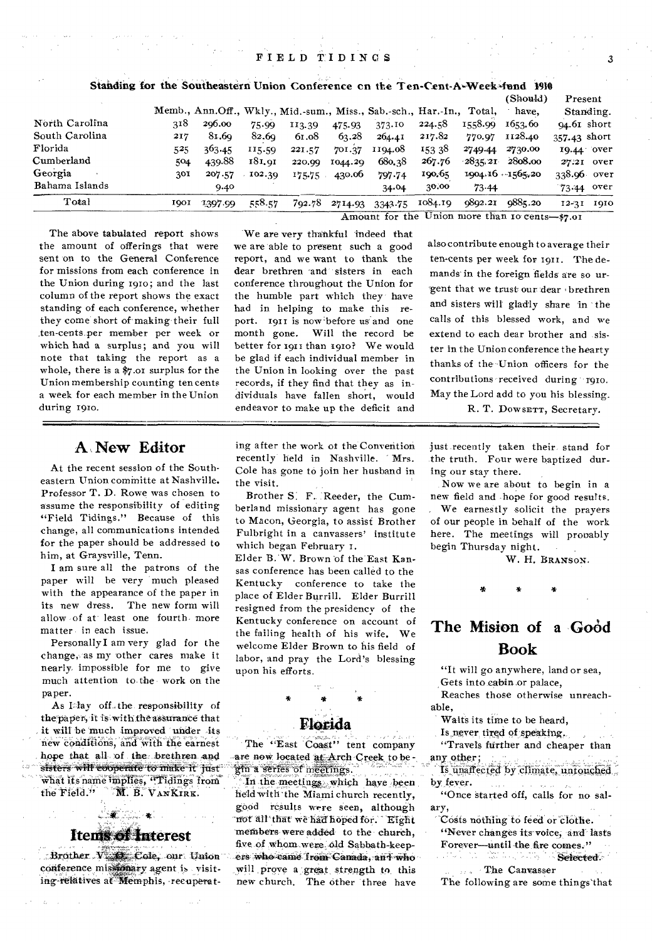## FIELD TIDINGS 3

Standing for the Sontheastern Union Conference en the Ten-Cent-A-Week,fund 11918

|                |                                                |         |        |                                                                       |         |         |         |           | (Should)            | Present       |  |
|----------------|------------------------------------------------|---------|--------|-----------------------------------------------------------------------|---------|---------|---------|-----------|---------------------|---------------|--|
|                |                                                |         |        | Memb., Ann.Off., Wkly., Mid.-sum., Miss., Sab.-sch., Har.-In., Total, |         |         |         |           | have.               | Standing.     |  |
| North Carolina | 318                                            | 206.00  | 75.99  | 113.39                                                                | 475.93  | 373.10  | 224.58  | 1558.99   | 1653.60             | $94.61$ short |  |
| South Carolina | 217                                            | 81.69   | 82.69  | 61.08                                                                 | 63.28   | 264.41  | 217.82  | 770.97    | 1128.40             | 357-43 short  |  |
| Florida        | 525.                                           | 363.45  | 115.59 | 221.57                                                                | 701.37  | 1194.08 | 153 38  | 2749.44   | 2730.00             | 19.44 over    |  |
| Cumberland     | 504                                            | 439.88  | 181.91 | 220.99                                                                | 1044.29 | 680,38  | 267.76  |           | 2835.21 2808.00     | 27.21 over    |  |
| Georgia        | 301                                            | 207.57  | 102.30 | 175.75                                                                | 430.06  | 797.74  | 190.65  |           | $1904.16 - 1565.20$ | 338.96 over   |  |
| Bahama Islands |                                                | 9.40    |        |                                                                       |         | 34.04   | 30.00   | $73 - 44$ |                     | 73.44 over    |  |
| Total          | <b>1001</b>                                    | 1397.99 | 558.57 | 792.78                                                                | 2714.93 | 3343.75 | 1084.19 | 9892.21   | 9885.20             | 12-31 1910    |  |
|                | Amount for the Union more than 10 cents-\$7.01 |         |        |                                                                       |         |         |         |           |                     |               |  |

The above tabulated report shows the amount of offerings that were sent on to the General Conference for missions from each conference in the Union during 191o; and the last column of the report shows the exact standing of each conference, whether they come short of making their full ten-cents per member per week or which had a surplus; and you will note that taking the report as a whole, there is a \$7.01 surplus for the Union membership counting ten cents a week for each member in the Union during 191o.

#### We are very thankful indeed that we are able to present such a good report, and we want to thank the dear brethren and sisters in each conference throughout the Union for the humble part which they have had in helping to make this report. 1911 is now before us and one month gone. Will the record be better for 1911 than 1910? We would be glad if each individual member in the Union in looking over the past records, if they find that they as individuals have fallen short, would endeavor to make up the deficit and

thanks of the Union officers for the contributions received during to to. May the Lord add to you his blessing. R. T. DOWSETT, Secretary.

## **A New Editor**

At the recent session of the Southeastern Union committe at Nashville. Professor T. D. Rowe was chosen to assume the responsibility of editing "Field Tidings." Because of this change, all communications intended for the paper should be addressed to him, at Graysville, Tenn.

I am sure all the patrons of the paper will be very much pleased with the appearance of the paper in its new dress. The new form will allow of at least one fourth more matter in each issue.

Personally I am very glad for the change, as my other cares make it nearly impossible for me to give much attention to the work on the paper.

As I-lay off-the responsibility of the paper, it is with the assurance that it will be much improved under its new conditions, and with the earnest hope that all of the brethren and sisters will ebtyerate to make it just gin a series of meetings.<br>What its name implies, 'Tidings from A' in the meetings, which have been what its name implies, "Tidings from"<br>the Field." **M. B. VANKIRK**.

## **Items of Interest**

 $\mathcal{L}$  . The  $\mathcal{L}$ 

;,,Brother. VijZt.ilCole, our conference missionary agent is visiting-relatives at- Memphis, recuperating after the work of the Convention recently held in Nashville. Mrs. Cole has gone to join her husband in the visit.

Brother S. F. 'Reeder, the Cumberland missionary agent has gone to Macon, Georgia, to assist Brother Fulbright in a canvassers' institute which began February 1.

Elder B. W. Brown of the East Kansas conference has been called to the Kentucky conference to take the place of Elder Burrill. Elder Burrill resigned from the presidency of the Kentucky conference on account of the failing health of his wife. We welcome Elder Brown to his field of labor, and pray the Lord's blessing upon his efforts.

## **Florida**

The "East Coast" tent company<br>are now located at Arch Creek to be-

held with 'the Miami church recently, good results were seen, although not"all that we haff hoped for. `Eight members were added to the church, five of whom were old Sabbath-keepers who came from Canada, and who will prove a great strength to this new church. The other 'three have just recently taken their stand for the truth. Four were baptized during our stay there.

also contribute enough to average their ten-cents per week for 1911. The demands in the foreign fields are so urgent that we trust our dear brethren and sisters will gladly share in the calls of this blessed work, and we extend to each dear brother and sister in the Union conference the hearty

Now we are about to begin in a new field and hope for good results. We earnestly solicit the prayers of our people in behalf of the work here. The meetings will prooably begin Thursday night.

W. H. BRANsON.

## The Mision of a Good **Book**

as C

"It will go anywhere, land or sea, Gets into cabin or palace,

Reaches those otherwise unreachable,

Waits its time to be heard,

Is never tired of speaking,

"Travels further and cheaper than any other:  $\mathcal{L}_{\rm{max}}$ 

Is unaffected by climate, untouched by fever.

"Once started off, calls for no salary,

Costs nothing to feed or clothe. "Never changes its voice, and lasts Forever-until the fire comes."

Selected.

The Canvasser The following are some things'that